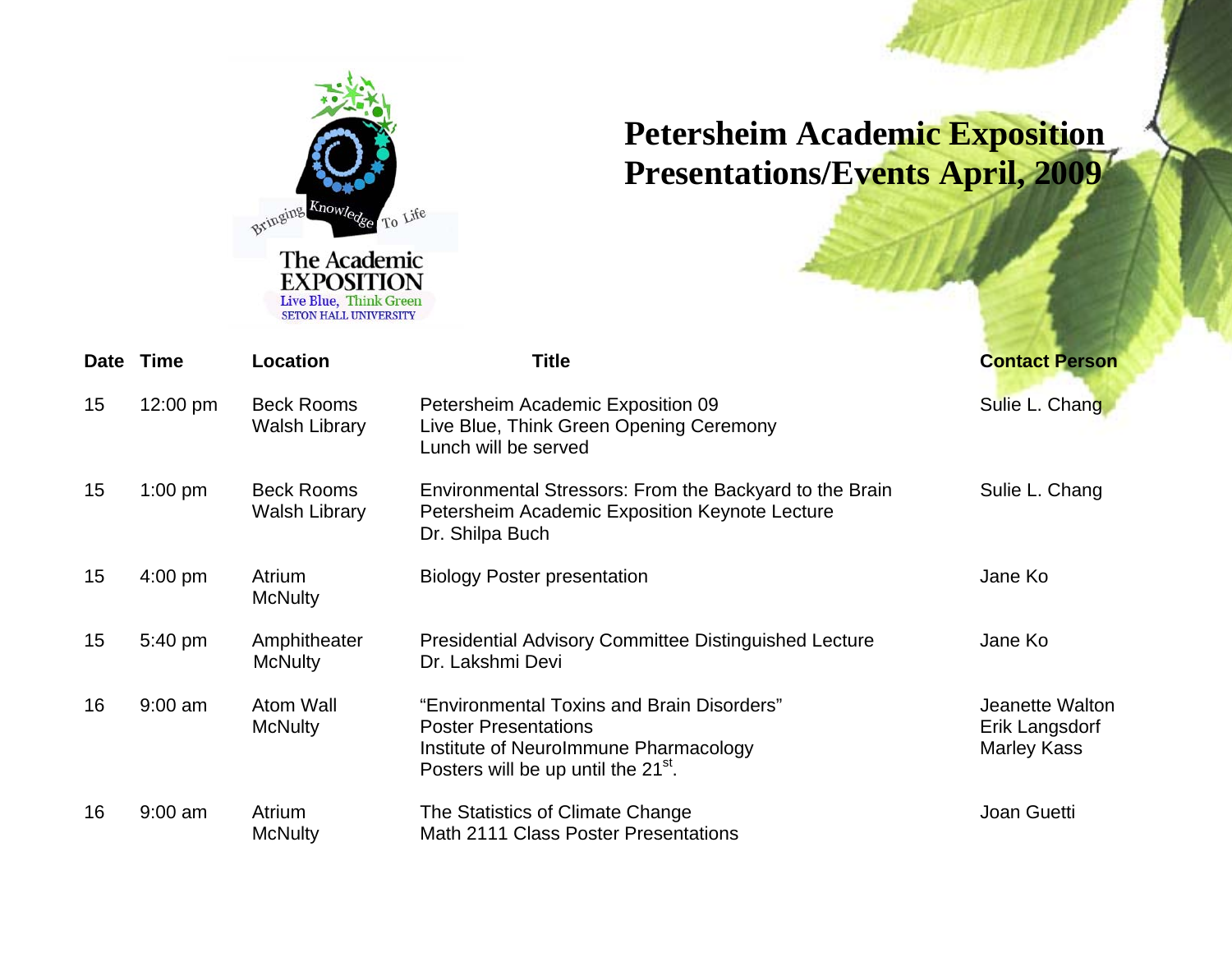

## **Petersheim Academic Exposition Presentations/Events April, 2009**

|    | Date Time | Location                                  | <b>Title</b>                                                                                                                                                          | <b>Contact Person</b>                                   |
|----|-----------|-------------------------------------------|-----------------------------------------------------------------------------------------------------------------------------------------------------------------------|---------------------------------------------------------|
| 15 | 12:00 pm  | <b>Beck Rooms</b><br><b>Walsh Library</b> | Petersheim Academic Exposition 09<br>Live Blue, Think Green Opening Ceremony<br>Lunch will be served                                                                  | Sulie L. Chang                                          |
| 15 | $1:00$ pm | <b>Beck Rooms</b><br><b>Walsh Library</b> | Environmental Stressors: From the Backyard to the Brain<br>Petersheim Academic Exposition Keynote Lecture<br>Dr. Shilpa Buch                                          | Sulie L. Chang                                          |
| 15 | $4:00$ pm | Atrium<br><b>McNulty</b>                  | <b>Biology Poster presentation</b>                                                                                                                                    | Jane Ko                                                 |
| 15 | 5:40 pm   | Amphitheater<br><b>McNulty</b>            | <b>Presidential Advisory Committee Distinguished Lecture</b><br>Dr. Lakshmi Devi                                                                                      | Jane Ko                                                 |
| 16 | $9:00$ am | Atom Wall<br><b>McNulty</b>               | "Environmental Toxins and Brain Disorders"<br><b>Poster Presentations</b><br>Institute of Neurolmmune Pharmacology<br>Posters will be up until the 21 <sup>st</sup> . | Jeanette Walton<br>Erik Langsdorf<br><b>Marley Kass</b> |
| 16 | $9:00$ am | Atrium<br><b>McNulty</b>                  | The Statistics of Climate Change<br>Math 2111 Class Poster Presentations                                                                                              | Joan Guetti                                             |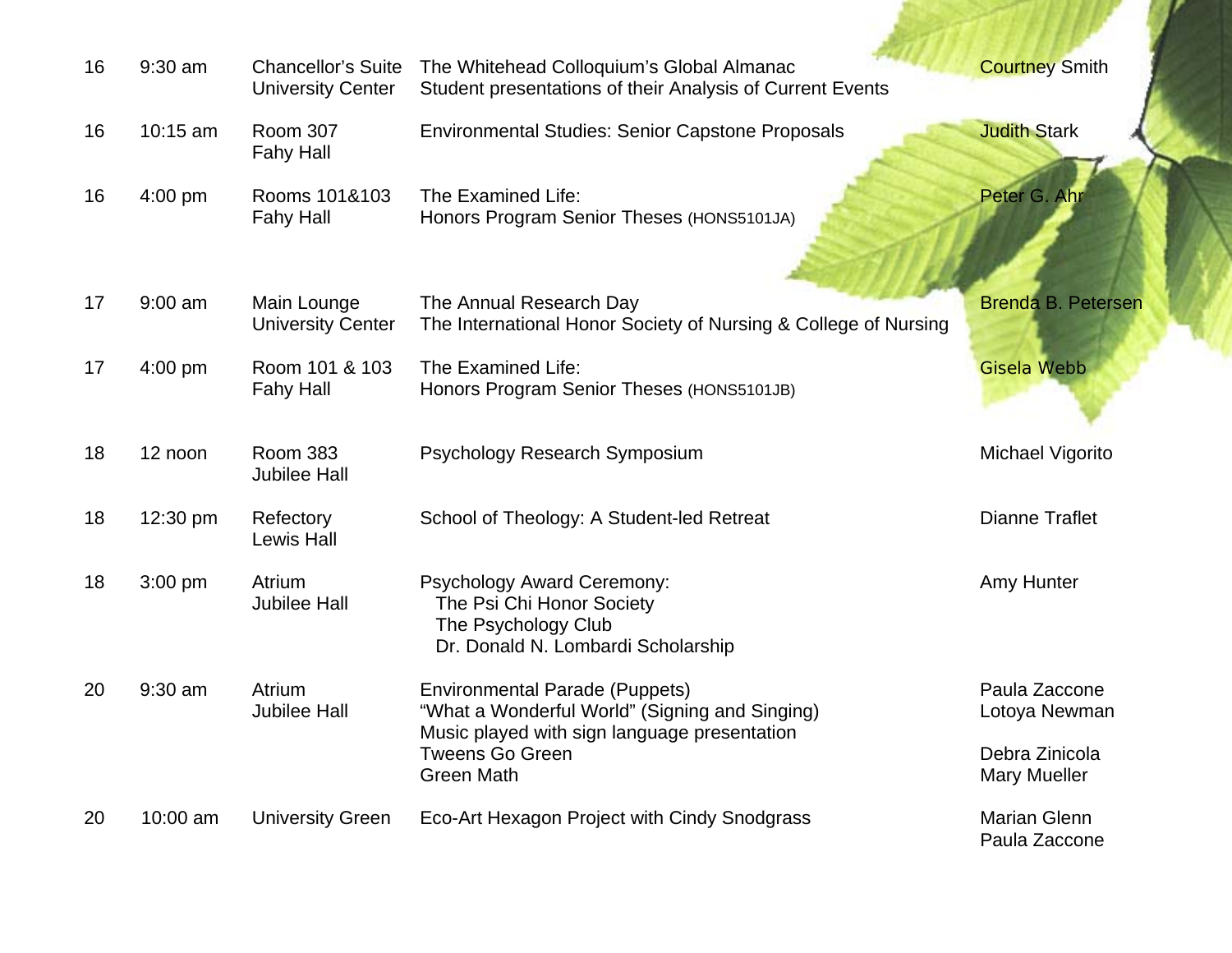| 16 | $9:30$ am | <b>Chancellor's Suite</b><br><b>University Center</b> | The Whitehead Colloquium's Global Almanac<br>Student presentations of their Analysis of Current Events                                                            | <b>Courtney Smith</b>                                |
|----|-----------|-------------------------------------------------------|-------------------------------------------------------------------------------------------------------------------------------------------------------------------|------------------------------------------------------|
| 16 | 10:15 am  | <b>Room 307</b><br><b>Fahy Hall</b>                   | <b>Environmental Studies: Senior Capstone Proposals</b>                                                                                                           | <b>Judith Stark</b>                                  |
| 16 | 4:00 pm   | Rooms 101&103<br><b>Fahy Hall</b>                     | The Examined Life:<br>Honors Program Senior Theses (HONS5101JA)                                                                                                   | Peter G. Ahr                                         |
| 17 | $9:00$ am | Main Lounge<br><b>University Center</b>               | The Annual Research Day<br>The International Honor Society of Nursing & College of Nursing                                                                        | <b>Brenda B. Petersen</b>                            |
| 17 | $4:00$ pm | Room 101 & 103<br><b>Fahy Hall</b>                    | The Examined Life:<br>Honors Program Senior Theses (HONS5101JB)                                                                                                   | <b>Gisela Webb</b>                                   |
| 18 | 12 noon   | <b>Room 383</b><br><b>Jubilee Hall</b>                | Psychology Research Symposium                                                                                                                                     | <b>Michael Vigorito</b>                              |
| 18 | 12:30 pm  | Refectory<br><b>Lewis Hall</b>                        | School of Theology: A Student-led Retreat                                                                                                                         | <b>Dianne Traflet</b>                                |
| 18 | $3:00$ pm | Atrium<br><b>Jubilee Hall</b>                         | <b>Psychology Award Ceremony:</b><br>The Psi Chi Honor Society<br>The Psychology Club<br>Dr. Donald N. Lombardi Scholarship                                       | Amy Hunter                                           |
| 20 | 9:30 am   | Atrium<br><b>Jubilee Hall</b>                         | <b>Environmental Parade (Puppets)</b><br>"What a Wonderful World" (Signing and Singing)<br>Music played with sign language presentation<br><b>Tweens Go Green</b> | Paula Zaccone<br>Lotoya Newman<br>Debra Zinicola     |
| 20 | 10:00 am  | <b>University Green</b>                               | <b>Green Math</b><br>Eco-Art Hexagon Project with Cindy Snodgrass                                                                                                 | <b>Mary Mueller</b><br>Marian Glenn<br>Paula Zaccone |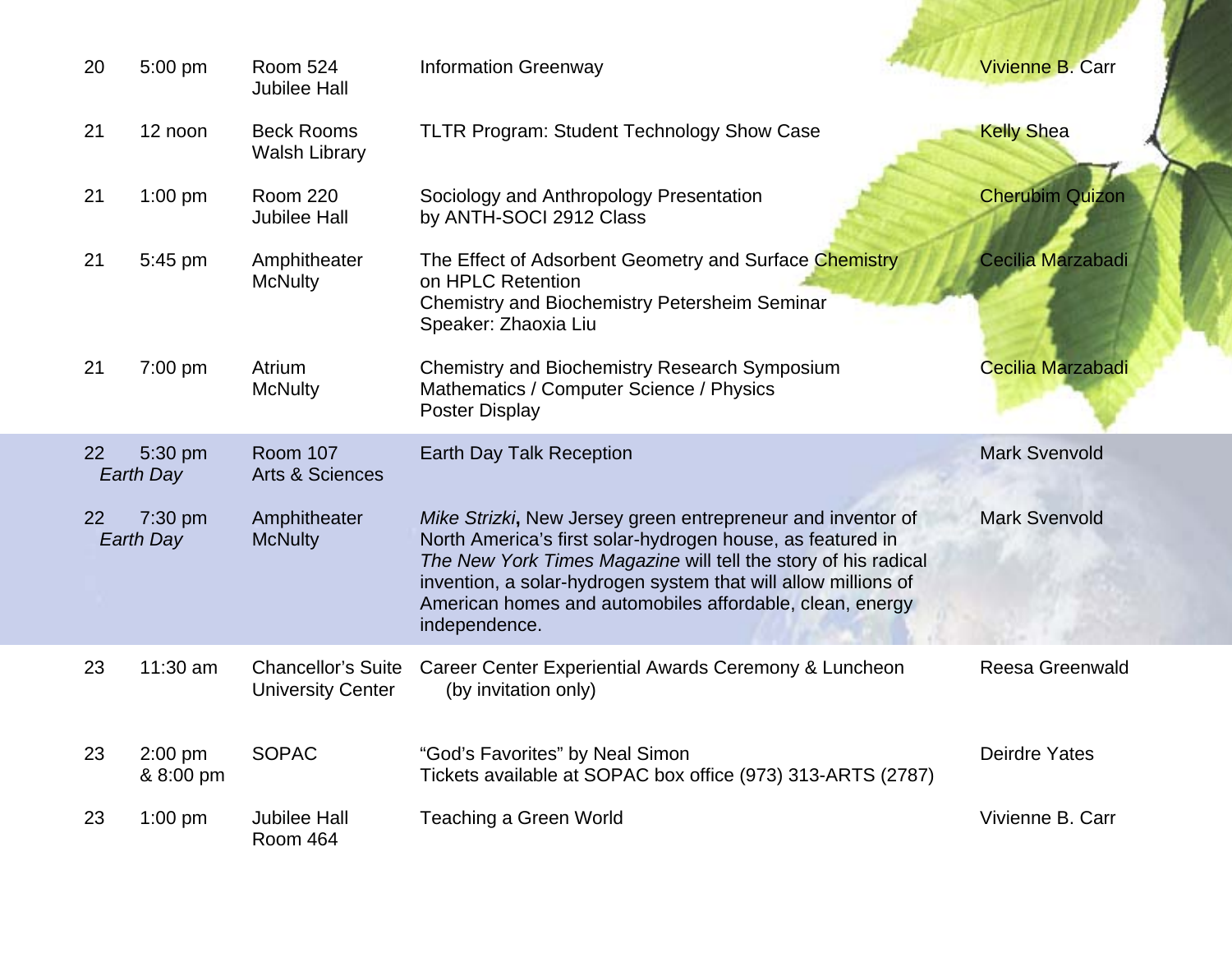| 20 | 5:00 pm                | <b>Room 524</b><br><b>Jubilee Hall</b>                | <b>Information Greenway</b>                                                                                                                                                                                                                                                                                                                | <b>Vivienne B. Carr</b> |
|----|------------------------|-------------------------------------------------------|--------------------------------------------------------------------------------------------------------------------------------------------------------------------------------------------------------------------------------------------------------------------------------------------------------------------------------------------|-------------------------|
| 21 | 12 noon                | <b>Beck Rooms</b><br><b>Walsh Library</b>             | <b>TLTR Program: Student Technology Show Case</b>                                                                                                                                                                                                                                                                                          | <b>Kelly Shea</b>       |
| 21 | $1:00$ pm              | <b>Room 220</b><br><b>Jubilee Hall</b>                | Sociology and Anthropology Presentation<br>by ANTH-SOCI 2912 Class                                                                                                                                                                                                                                                                         | <b>Cherubim Quizon</b>  |
| 21 | 5:45 pm                | Amphitheater<br><b>McNulty</b>                        | The Effect of Adsorbent Geometry and Surface Chemistry<br>on HPLC Retention<br><b>Chemistry and Biochemistry Petersheim Seminar</b><br>Speaker: Zhaoxia Liu                                                                                                                                                                                | Cecilia Marzabadi       |
| 21 | 7:00 pm                | Atrium<br><b>McNulty</b>                              | <b>Chemistry and Biochemistry Research Symposium</b><br>Mathematics / Computer Science / Physics<br><b>Poster Display</b>                                                                                                                                                                                                                  | Cecilia Marzabadi       |
| 22 | 5:30 pm<br>Earth Day   | <b>Room 107</b><br><b>Arts &amp; Sciences</b>         | <b>Earth Day Talk Reception</b>                                                                                                                                                                                                                                                                                                            | <b>Mark Svenvold</b>    |
| 22 | 7:30 pm<br>Earth Day   | Amphitheater<br><b>McNulty</b>                        | Mike Strizki, New Jersey green entrepreneur and inventor of<br>North America's first solar-hydrogen house, as featured in<br>The New York Times Magazine will tell the story of his radical<br>invention, a solar-hydrogen system that will allow millions of<br>American homes and automobiles affordable, clean, energy<br>independence. | <b>Mark Svenvold</b>    |
| 23 | 11:30 am               | <b>Chancellor's Suite</b><br><b>University Center</b> | Career Center Experiential Awards Ceremony & Luncheon<br>(by invitation only)                                                                                                                                                                                                                                                              | <b>Reesa Greenwald</b>  |
| 23 | $2:00$ pm<br>& 8:00 pm | <b>SOPAC</b>                                          | "God's Favorites" by Neal Simon<br>Tickets available at SOPAC box office (973) 313-ARTS (2787)                                                                                                                                                                                                                                             | <b>Deirdre Yates</b>    |
| 23 | $1:00$ pm              | <b>Jubilee Hall</b><br>Room 464                       | <b>Teaching a Green World</b>                                                                                                                                                                                                                                                                                                              | Vivienne B. Carr        |